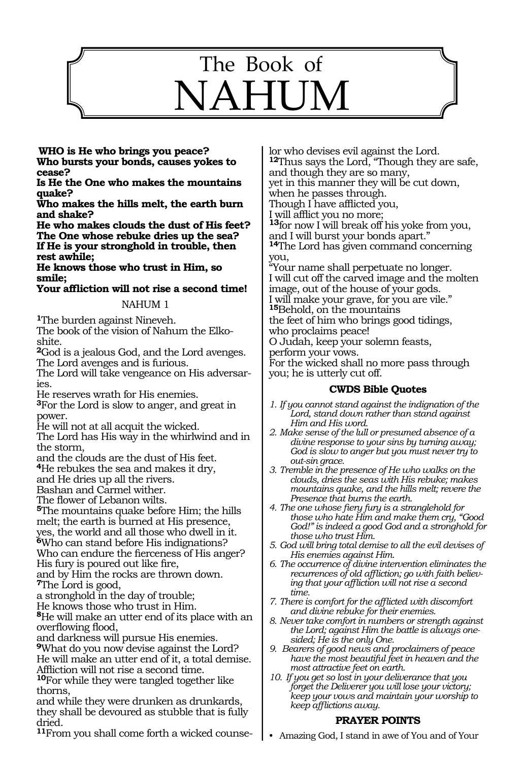

**Who is He who brings you peace? Who bursts your bonds, causes yokes to cease?**

**Is He the One who makes the mountains quake?**

**Who makes the hills melt, the earth burn and shake?**

**He who makes clouds the dust of His feet? The One whose rebuke dries up the sea? If He is your stronghold in trouble, then rest awhile;**

**He knows those who trust in Him, so smile;**

**Your affliction will not rise a second time!**

#### NAHUM 1

**<sup>1</sup>**The burden against Nineveh.

The book of the vision of Nahum the Elkoshite.

**<sup>2</sup>**God is a jealous God, and the Lord avenges. The Lord avenges and is furious.

The Lord will take vengeance on His adversaries.

He reserves wrath for His enemies.

**<sup>3</sup>**For the Lord is slow to anger, and great in power.

He will not at all acquit the wicked.

The Lord has His way in the whirlwind and in the storm,

and the clouds are the dust of His feet.

**<sup>4</sup>**He rebukes the sea and makes it dry,

and He dries up all the rivers.

Bashan and Carmel wither.

The flower of Lebanon wilts.

**<sup>5</sup>**The mountains quake before Him; the hills melt; the earth is burned at His presence, yes, the world and all those who dwell in it. **<sup>6</sup>**Who can stand before His indignations? Who can endure the fierceness of His anger?

His fury is poured out like fire,

and by Him the rocks are thrown down. **<sup>7</sup>**The Lord is good,

a stronghold in the day of trouble;

He knows those who trust in Him.

**<sup>8</sup>**He will make an utter end of its place with an overflowing flood,

and darkness will pursue His enemies. **<sup>9</sup>**What do you now devise against the Lord?

He will make an utter end of it, a total demise. Affliction will not rise a second time.

**<sup>10</sup>**For while they were tangled together like thorns,

and while they were drunken as drunkards, they shall be devoured as stubble that is fully dried.

**11**From you shall come forth a wicked counse-

lor who devises evil against the Lord. **<sup>12</sup>**Thus says the Lord, "Though they are safe, and though they are so many, yet in this manner they will be cut down, when he passes through. Though I have afflicted you, I will afflict you no more;

**<sup>13</sup>**for now I will break off his yoke from you, and I will burst your bonds apart."

**<sup>14</sup>**The Lord has given command concerning you,

"Your name shall perpetuate no longer. I will cut off the carved image and the molten image, out of the house of your gods. I will make your grave, for you are vile." **<sup>15</sup>**Behold, on the mountains the feet of him who brings good tidings, who proclaims peace! O Judah, keep your solemn feasts,

perform your vows.

For the wicked shall no more pass through you; he is utterly cut off.

## **CWDS Bible Quotes**

- *1. If you cannot stand against the indignation of the Lord, stand down rather than stand against Him and His word.*
- *2. Make sense of the lull or presumed absence of a divine response to your sins by turning away; God is slow to anger but you must never try to out-sin grace.*
- *3. Tremble in the presence of He who walks on the clouds, dries the seas with His rebuke; makes mountains quake, and the hills melt; revere the Presence that burns the earth.*
- *4. The one whose fiery fury is a stranglehold for those who hate Him and make them cry, "Good God!" is indeed a good God and a stronghold for those who trust Him.*
- *5. God will bring total demise to all the evil devises of His enemies against Him.*
- *6. The occurrence of divine intervention eliminates the recurrences of old affliction; go with faith believing that your affliction will not rise a second time.*
- *7. There is comfort for the afflicted with discomfort and divine rebuke for their enemies.*
- *8. Never take comfort in numbers or strength against the Lord; against Him the battle is always onesided; He is the only One.*
- *9. Bearers of good news and proclaimers of peace have the most beautiful feet in heaven and the most attractive feet on earth.*
- *10. If you get so lost in your deliverance that you forget the Deliverer you will lose your victory; keep your vows and maintain your worship to keep afflictions away.*

## **PRAYER POINTS**

• Amazing God, I stand in awe of You and of Your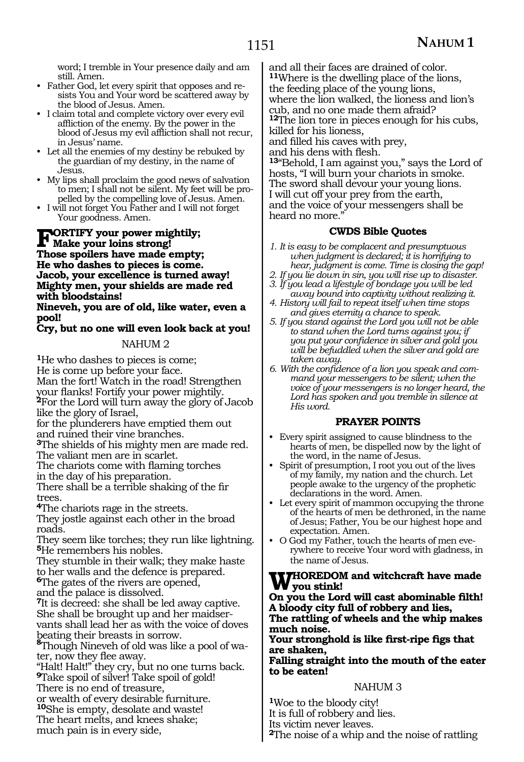word; I tremble in Your presence daily and am still. Amen.

- Father God, let every spirit that opposes and resists You and Your word be scattered away by the blood of Jesus. Amen.
- I claim total and complete victory over every evil affliction of the enemy. By the power in the blood of Jesus my evil affliction shall not recur, in Jesus' name.
- Let all the enemies of my destiny be rebuked by the guardian of my destiny, in the name of Jesus.
- My lips shall proclaim the good news of salvation to men; I shall not be silent. My feet will be propelled by the compelling love of Jesus. Amen.
- I will not forget You Father and I will not forget Your goodness. Amen.

# **FORTIFY your power mightily;**<br>These gradiers have mode empty **Those spoilers have made empty; He who dashes to pieces is come. Jacob, your excellence is turned away! Mighty men, your shields are made red with bloodstains!**

**Nineveh, you are of old, like water, even a pool!**

## **Cry, but no one will even look back at you!**

#### NAHUM 2

**<sup>1</sup>**He who dashes to pieces is come; He is come up before your face. Man the fort! Watch in the road! Strengthen <sup>2</sup>For the Lord will turn away the glory of Jacob like the glory of Israel,

for the plunderers have emptied them out and ruined their vine branches.

**<sup>3</sup>**The shields of his mighty men are made red. The valiant men are in scarlet.

The chariots come with flaming torches in the day of his preparation.

There shall be a terrible shaking of the fir trees.

**<sup>4</sup>**The chariots rage in the streets.

They jostle against each other in the broad roads.

They seem like torches; they run like lightning. **<sup>5</sup>**He remembers his nobles.

They stumble in their walk; they make haste to her walls and the defence is prepared.

**<sup>6</sup>**The gates of the rivers are opened,

and the palace is dissolved.

**<sup>7</sup>**It is decreed: she shall be led away captive. She shall be brought up and her maidservants shall lead her as with the voice of doves beating their breasts in sorrow.

**<sup>8</sup>**Though Nineveh of old was like a pool of water, now they flee away.

"Halt! Halt!" they cry, but no one turns back. **<sup>9</sup>**Take spoil of silver! Take spoil of gold! There is no end of treasure, or wealth of every desirable furniture. **<sup>10</sup>**She is empty, desolate and waste!

The heart melts, and knees shake;

much pain is in every side,

and all their faces are drained of color. **<sup>11</sup>**Where is the dwelling place of the lions, the feeding place of the young lions, where the lion walked, the lioness and lion's cub, and no one made them afraid? **<sup>12</sup>**The lion tore in pieces enough for his cubs, killed for his lioness, and filled his caves with prey, and his dens with flesh. **<sup>13</sup>**"Behold, I am against you," says the Lord of hosts, "I will burn your chariots in smoke. The sword shall devour your young lions. I will cut off your prey from the earth, and the voice of your messengers shall be heard no more."

#### **CWDS Bible Quotes**

- *1. It is easy to be complacent and presumptuous when judgment is declared; it is horrifying to hear, judgment is come. Time is closing the gap!*
- *2. If you lie down in sin, you will rise up to disaster.*
- *3. If you lead a lifestyle of bondage you will be led away bound into captivity without realizing it.*
- *4. History will fail to repeat itself when time stops and gives eternity a chance to speak.*
- *5. If you stand against the Lord you will not be able to stand when the Lord turns against you; if you put your confidence in silver and gold you will be befuddled when the silver and gold are taken away.*
- *6. With the confidence of a lion you speak and command your messengers to be silent; when the voice of your messengers is no longer heard, the Lord has spoken and you tremble in silence at His word.*

## **PRAYER POINTS**

- Every spirit assigned to cause blindness to the hearts of men, be dispelled now by the light of the word, in the name of Jesus.
- Spirit of presumption, I root you out of the lives of my family, my nation and the church. Let people awake to the urgency of the prophetic declarations in the word. Amen.
- Let every spirit of mammon occupying the throne of the hearts of men be dethroned, in the name of Jesus; Father, You be our highest hope and expectation. Amen.
- O God my Father, touch the hearts of men everywhere to receive Your word with gladness, in the name of Jesus.

#### **WHOREDOM and witchcraft have made you stink!**

**On you the Lord will cast abominable filth! A bloody city full of robbery and lies,**

**The rattling of wheels and the whip makes much noise.**

**Your stronghold is like first-ripe figs that are shaken,**

**Falling straight into the mouth of the eater to be eaten!**

#### NAHUM 3

**<sup>1</sup>**Woe to the bloody city! It is full of robbery and lies. Its victim never leaves.

**<sup>2</sup>**The noise of a whip and the noise of rattling